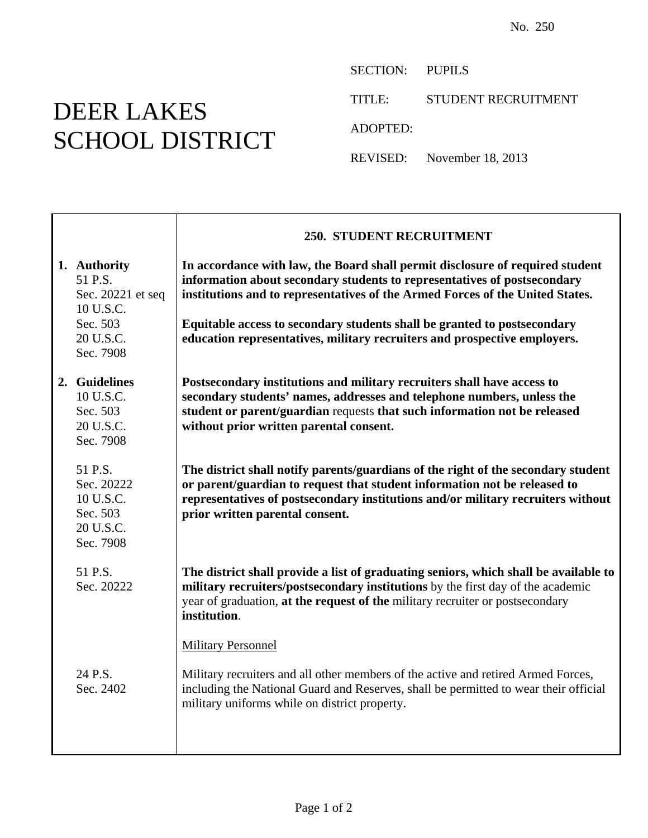## DEER LAKES SCHOOL DISTRICT

SECTION: PUPILS

TITLE: STUDENT RECRUITMENT

ADOPTED:

REVISED: November 18, 2013

|                                                                                                 | <b>250. STUDENT RECRUITMENT</b>                                                                                                                                                                                                                                                                                                                                                                     |
|-------------------------------------------------------------------------------------------------|-----------------------------------------------------------------------------------------------------------------------------------------------------------------------------------------------------------------------------------------------------------------------------------------------------------------------------------------------------------------------------------------------------|
| 1. Authority<br>51 P.S.<br>Sec. 20221 et seq<br>10 U.S.C.<br>Sec. 503<br>20 U.S.C.<br>Sec. 7908 | In accordance with law, the Board shall permit disclosure of required student<br>information about secondary students to representatives of postsecondary<br>institutions and to representatives of the Armed Forces of the United States.<br>Equitable access to secondary students shall be granted to postsecondary<br>education representatives, military recruiters and prospective employers. |
| 2. Guidelines<br>10 U.S.C.<br>Sec. 503<br>20 U.S.C.<br>Sec. 7908                                | Postsecondary institutions and military recruiters shall have access to<br>secondary students' names, addresses and telephone numbers, unless the<br>student or parent/guardian requests that such information not be released<br>without prior written parental consent.                                                                                                                           |
| 51 P.S.<br>Sec. 20222<br>10 U.S.C.<br>Sec. 503<br>20 U.S.C.<br>Sec. 7908                        | The district shall notify parents/guardians of the right of the secondary student<br>or parent/guardian to request that student information not be released to<br>representatives of postsecondary institutions and/or military recruiters without<br>prior written parental consent.                                                                                                               |
| 51 P.S.<br>Sec. 20222                                                                           | The district shall provide a list of graduating seniors, which shall be available to<br>military recruiters/postsecondary institutions by the first day of the academic<br>year of graduation, at the request of the military recruiter or postsecondary<br>institution.                                                                                                                            |
| 24 P.S.<br>Sec. 2402                                                                            | <b>Military Personnel</b><br>Military recruiters and all other members of the active and retired Armed Forces,<br>including the National Guard and Reserves, shall be permitted to wear their official<br>military uniforms while on district property.                                                                                                                                             |